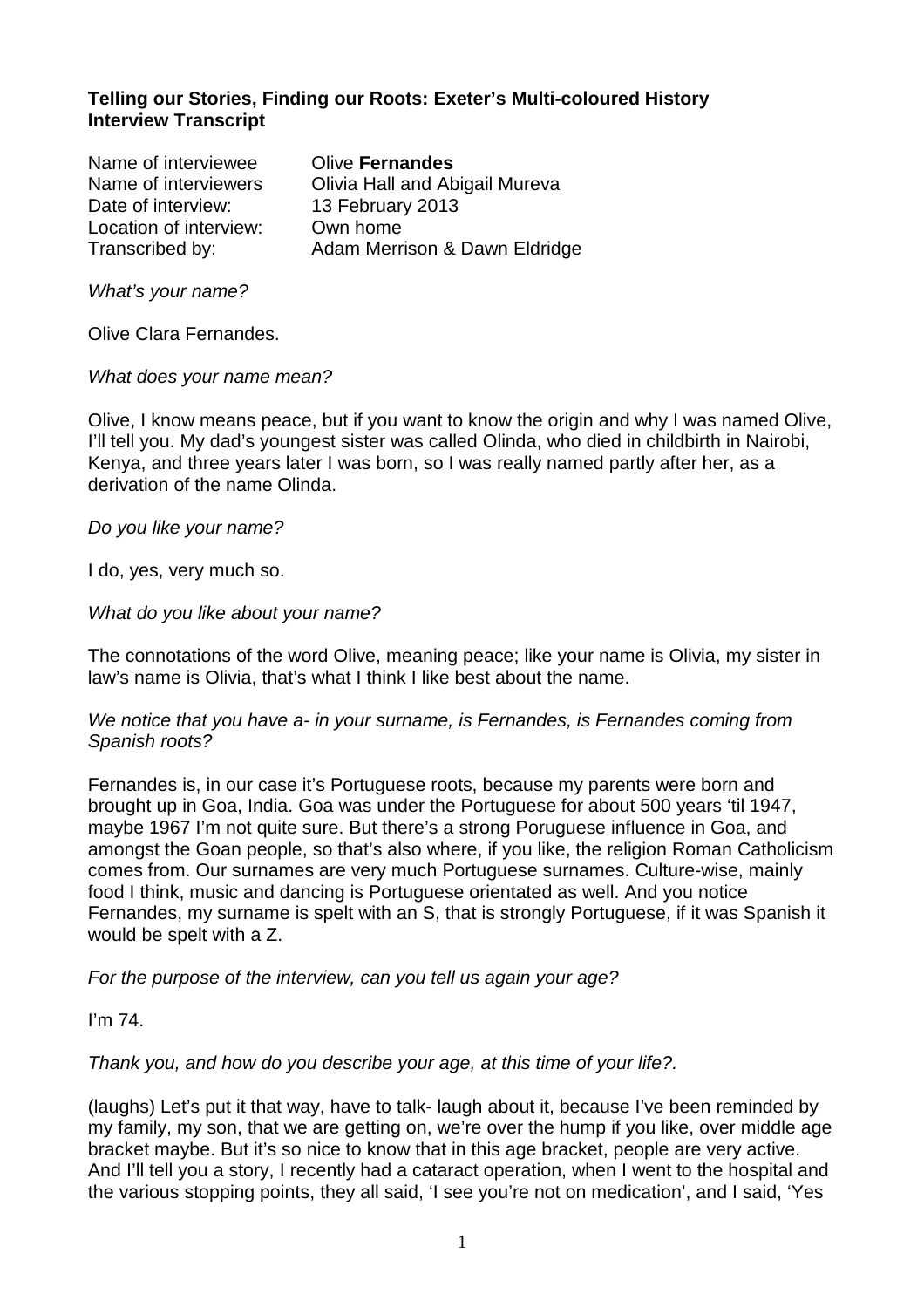## **Telling our Stories, Finding our Roots: Exeter's Multi-coloured History Interview Transcript**

Name of interviewee Olive **Fernandes**  Name of interviewers Olivia Hall and Abigail Mureva Date of interview: 13 February 2013 Location of interview: Own home Transcribed by: Adam Merrison & Dawn Eldridge

What's your name?

Olive Clara Fernandes.

What does your name mean?

Olive, I know means peace, but if you want to know the origin and why I was named Olive, I'll tell you. My dad's youngest sister was called Olinda, who died in childbirth in Nairobi, Kenya, and three years later I was born, so I was really named partly after her, as a derivation of the name Olinda.

Do you like your name?

I do, yes, very much so.

#### What do you like about your name?

The connotations of the word Olive, meaning peace; like your name is Olivia, my sister in law's name is Olivia, that's what I think I like best about the name.

#### We notice that you have a- in your surname, is Fernandes, is Fernandes coming from Spanish roots?

Fernandes is, in our case it's Portuguese roots, because my parents were born and brought up in Goa, India. Goa was under the Portuguese for about 500 years 'til 1947, maybe 1967 I'm not quite sure. But there's a strong Poruguese influence in Goa, and amongst the Goan people, so that's also where, if you like, the religion Roman Catholicism comes from. Our surnames are very much Portuguese surnames. Culture-wise, mainly food I think, music and dancing is Portuguese orientated as well. And you notice Fernandes, my surname is spelt with an S, that is strongly Portuguese, if it was Spanish it would be spelt with a Z.

For the purpose of the interview, can you tell us again your age?

I'm 74.

Thank you, and how do you describe your age, at this time of your life?.

(laughs) Let's put it that way, have to talk- laugh about it, because I've been reminded by my family, my son, that we are getting on, we're over the hump if you like, over middle age bracket maybe. But it's so nice to know that in this age bracket, people are very active. And I'll tell you a story, I recently had a cataract operation, when I went to the hospital and the various stopping points, they all said, 'I see you're not on medication', and I said, 'Yes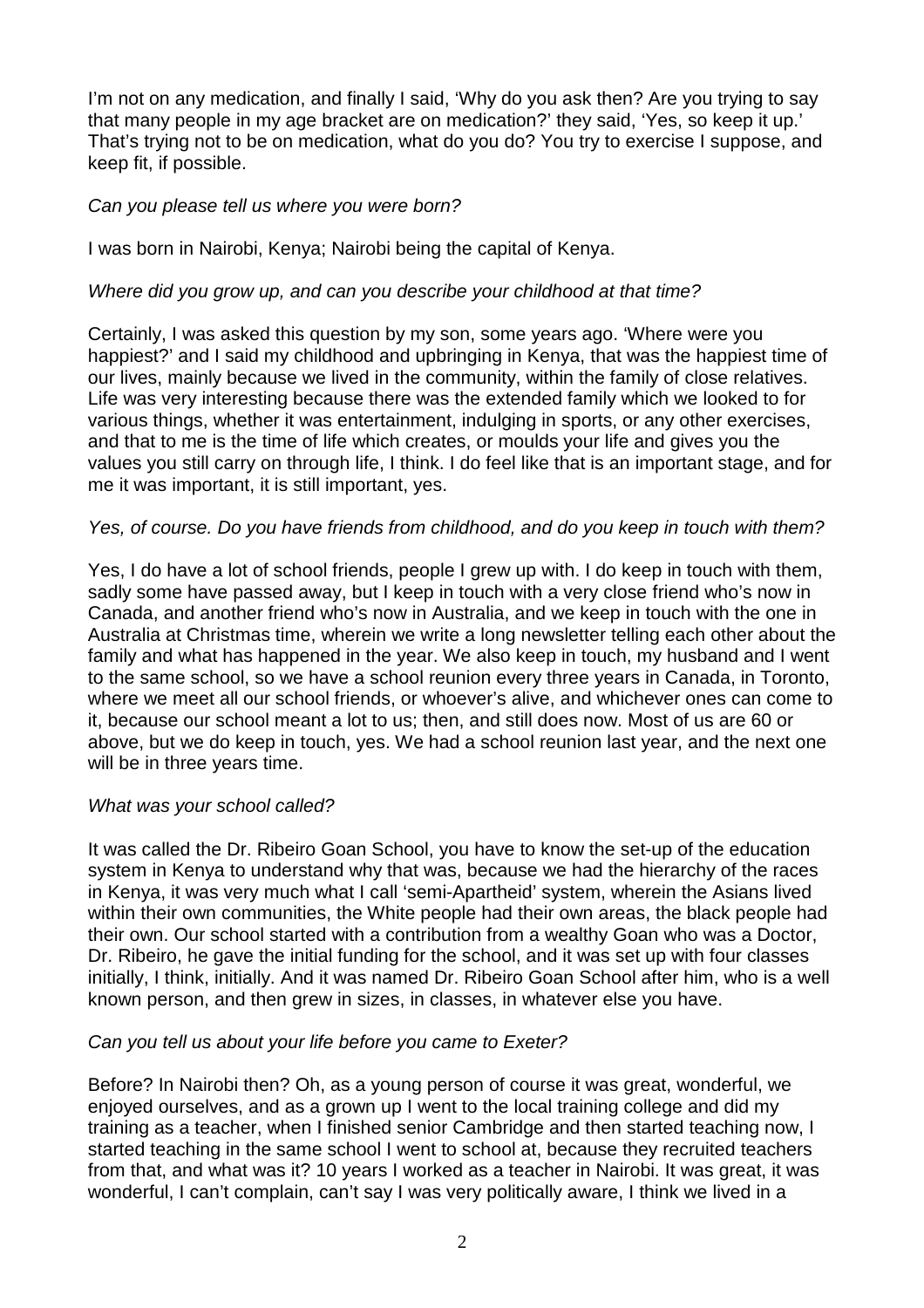I'm not on any medication, and finally I said, 'Why do you ask then? Are you trying to say that many people in my age bracket are on medication?' they said, 'Yes, so keep it up.' That's trying not to be on medication, what do you do? You try to exercise I suppose, and keep fit, if possible.

### Can you please tell us where you were born?

I was born in Nairobi, Kenya; Nairobi being the capital of Kenya.

## Where did you grow up, and can you describe your childhood at that time?

Certainly, I was asked this question by my son, some years ago. 'Where were you happiest?' and I said my childhood and upbringing in Kenya, that was the happiest time of our lives, mainly because we lived in the community, within the family of close relatives. Life was very interesting because there was the extended family which we looked to for various things, whether it was entertainment, indulging in sports, or any other exercises, and that to me is the time of life which creates, or moulds your life and gives you the values you still carry on through life, I think. I do feel like that is an important stage, and for me it was important, it is still important, yes.

## Yes, of course. Do you have friends from childhood, and do you keep in touch with them?

Yes, I do have a lot of school friends, people I grew up with. I do keep in touch with them, sadly some have passed away, but I keep in touch with a very close friend who's now in Canada, and another friend who's now in Australia, and we keep in touch with the one in Australia at Christmas time, wherein we write a long newsletter telling each other about the family and what has happened in the year. We also keep in touch, my husband and I went to the same school, so we have a school reunion every three years in Canada, in Toronto, where we meet all our school friends, or whoever's alive, and whichever ones can come to it, because our school meant a lot to us; then, and still does now. Most of us are 60 or above, but we do keep in touch, yes. We had a school reunion last year, and the next one will be in three years time.

### What was your school called?

It was called the Dr. Ribeiro Goan School, you have to know the set-up of the education system in Kenya to understand why that was, because we had the hierarchy of the races in Kenya, it was very much what I call 'semi-Apartheid' system, wherein the Asians lived within their own communities, the White people had their own areas, the black people had their own. Our school started with a contribution from a wealthy Goan who was a Doctor, Dr. Ribeiro, he gave the initial funding for the school, and it was set up with four classes initially, I think, initially. And it was named Dr. Ribeiro Goan School after him, who is a well known person, and then grew in sizes, in classes, in whatever else you have.

### Can you tell us about your life before you came to Exeter?

Before? In Nairobi then? Oh, as a young person of course it was great, wonderful, we enjoyed ourselves, and as a grown up I went to the local training college and did my training as a teacher, when I finished senior Cambridge and then started teaching now, I started teaching in the same school I went to school at, because they recruited teachers from that, and what was it? 10 years I worked as a teacher in Nairobi. It was great, it was wonderful, I can't complain, can't say I was very politically aware, I think we lived in a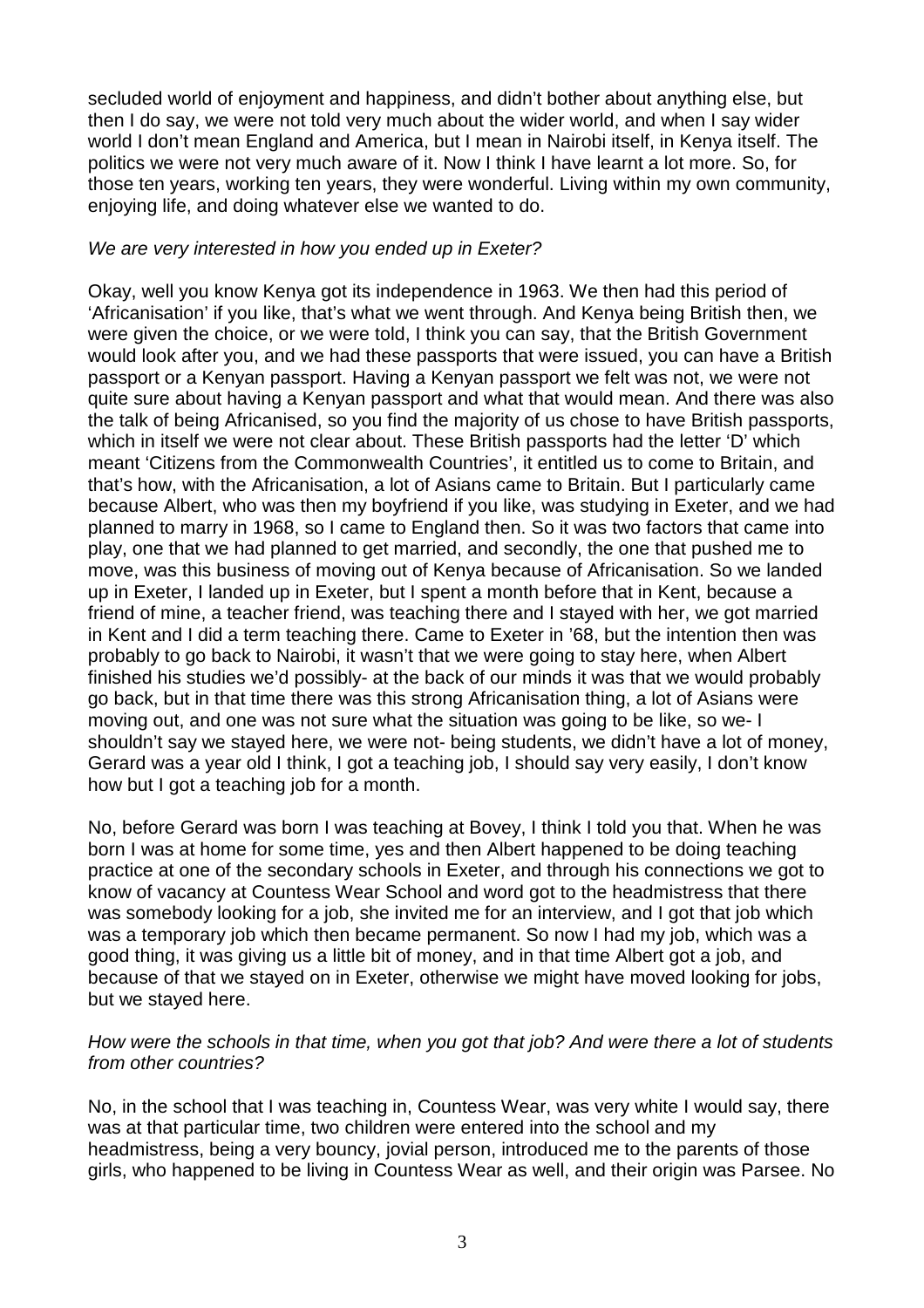secluded world of enjoyment and happiness, and didn't bother about anything else, but then I do say, we were not told very much about the wider world, and when I say wider world I don't mean England and America, but I mean in Nairobi itself, in Kenya itself. The politics we were not very much aware of it. Now I think I have learnt a lot more. So, for those ten years, working ten years, they were wonderful. Living within my own community, enjoying life, and doing whatever else we wanted to do.

## We are very interested in how you ended up in Exeter?

Okay, well you know Kenya got its independence in 1963. We then had this period of 'Africanisation' if you like, that's what we went through. And Kenya being British then, we were given the choice, or we were told, I think you can say, that the British Government would look after you, and we had these passports that were issued, you can have a British passport or a Kenyan passport. Having a Kenyan passport we felt was not, we were not quite sure about having a Kenyan passport and what that would mean. And there was also the talk of being Africanised, so you find the majority of us chose to have British passports, which in itself we were not clear about. These British passports had the letter 'D' which meant 'Citizens from the Commonwealth Countries', it entitled us to come to Britain, and that's how, with the Africanisation, a lot of Asians came to Britain. But I particularly came because Albert, who was then my boyfriend if you like, was studying in Exeter, and we had planned to marry in 1968, so I came to England then. So it was two factors that came into play, one that we had planned to get married, and secondly, the one that pushed me to move, was this business of moving out of Kenya because of Africanisation. So we landed up in Exeter, I landed up in Exeter, but I spent a month before that in Kent, because a friend of mine, a teacher friend, was teaching there and I stayed with her, we got married in Kent and I did a term teaching there. Came to Exeter in '68, but the intention then was probably to go back to Nairobi, it wasn't that we were going to stay here, when Albert finished his studies we'd possibly- at the back of our minds it was that we would probably go back, but in that time there was this strong Africanisation thing, a lot of Asians were moving out, and one was not sure what the situation was going to be like, so we- I shouldn't say we stayed here, we were not- being students, we didn't have a lot of money, Gerard was a year old I think, I got a teaching job, I should say very easily, I don't know how but I got a teaching job for a month.

No, before Gerard was born I was teaching at Bovey, I think I told you that. When he was born I was at home for some time, yes and then Albert happened to be doing teaching practice at one of the secondary schools in Exeter, and through his connections we got to know of vacancy at Countess Wear School and word got to the headmistress that there was somebody looking for a job, she invited me for an interview, and I got that job which was a temporary job which then became permanent. So now I had my job, which was a good thing, it was giving us a little bit of money, and in that time Albert got a job, and because of that we stayed on in Exeter, otherwise we might have moved looking for jobs, but we stayed here.

### How were the schools in that time, when you got that job? And were there a lot of students from other countries?

No, in the school that I was teaching in, Countess Wear, was very white I would say, there was at that particular time, two children were entered into the school and my headmistress, being a very bouncy, jovial person, introduced me to the parents of those girls, who happened to be living in Countess Wear as well, and their origin was Parsee. No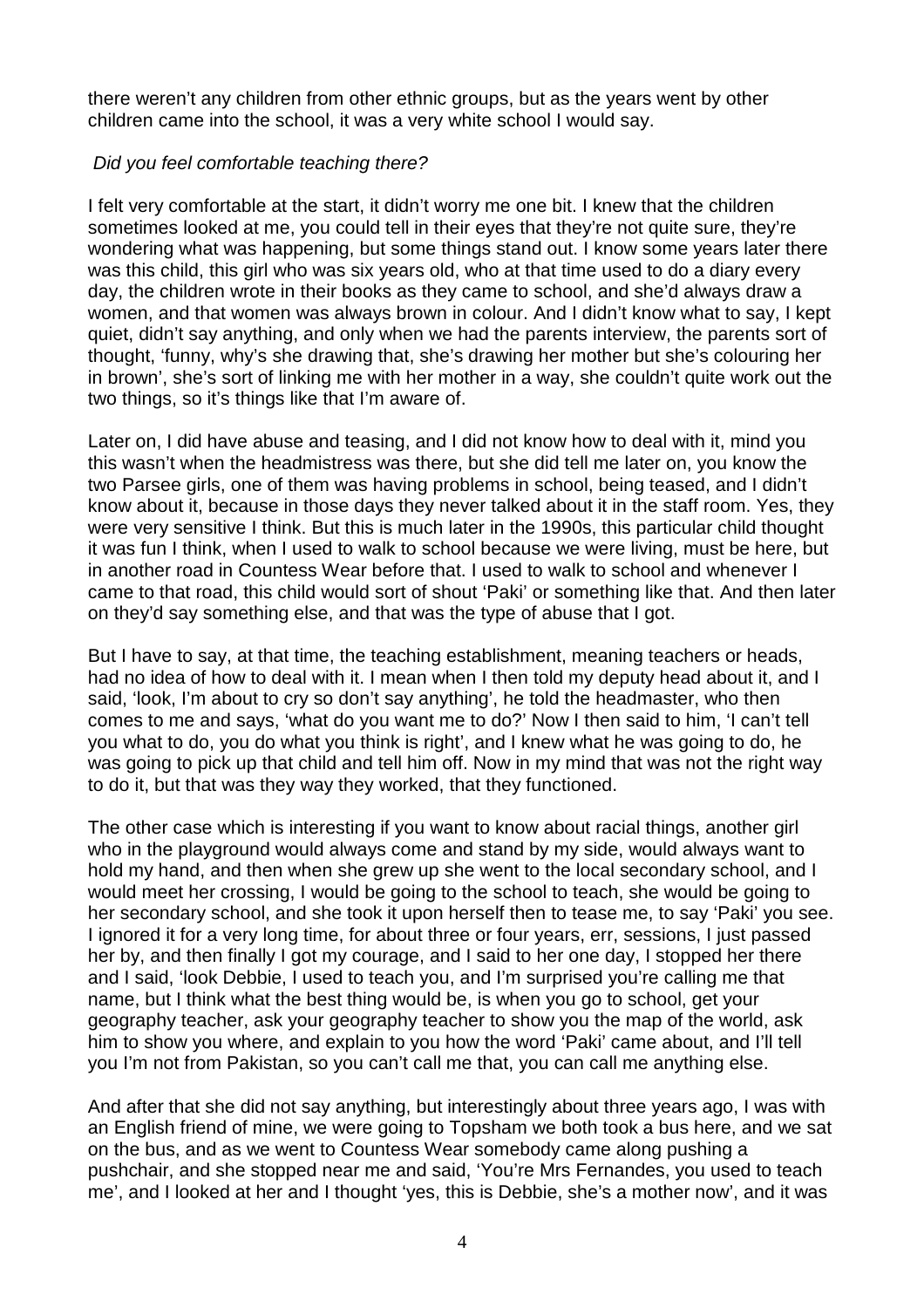there weren't any children from other ethnic groups, but as the years went by other children came into the school, it was a very white school I would say.

## Did you feel comfortable teaching there?

I felt very comfortable at the start, it didn't worry me one bit. I knew that the children sometimes looked at me, you could tell in their eyes that they're not quite sure, they're wondering what was happening, but some things stand out. I know some years later there was this child, this girl who was six years old, who at that time used to do a diary every day, the children wrote in their books as they came to school, and she'd always draw a women, and that women was always brown in colour. And I didn't know what to say, I kept quiet, didn't say anything, and only when we had the parents interview, the parents sort of thought, 'funny, why's she drawing that, she's drawing her mother but she's colouring her in brown', she's sort of linking me with her mother in a way, she couldn't quite work out the two things, so it's things like that I'm aware of.

Later on, I did have abuse and teasing, and I did not know how to deal with it, mind you this wasn't when the headmistress was there, but she did tell me later on, you know the two Parsee girls, one of them was having problems in school, being teased, and I didn't know about it, because in those days they never talked about it in the staff room. Yes, they were very sensitive I think. But this is much later in the 1990s, this particular child thought it was fun I think, when I used to walk to school because we were living, must be here, but in another road in Countess Wear before that. I used to walk to school and whenever I came to that road, this child would sort of shout 'Paki' or something like that. And then later on they'd say something else, and that was the type of abuse that I got.

But I have to say, at that time, the teaching establishment, meaning teachers or heads, had no idea of how to deal with it. I mean when I then told my deputy head about it, and I said, 'look, I'm about to cry so don't say anything', he told the headmaster, who then comes to me and says, 'what do you want me to do?' Now I then said to him, 'I can't tell you what to do, you do what you think is right', and I knew what he was going to do, he was going to pick up that child and tell him off. Now in my mind that was not the right way to do it, but that was they way they worked, that they functioned.

The other case which is interesting if you want to know about racial things, another girl who in the playground would always come and stand by my side, would always want to hold my hand, and then when she grew up she went to the local secondary school, and I would meet her crossing, I would be going to the school to teach, she would be going to her secondary school, and she took it upon herself then to tease me, to say 'Paki' you see. I ignored it for a very long time, for about three or four years, err, sessions, I just passed her by, and then finally I got my courage, and I said to her one day, I stopped her there and I said, 'look Debbie, I used to teach you, and I'm surprised you're calling me that name, but I think what the best thing would be, is when you go to school, get your geography teacher, ask your geography teacher to show you the map of the world, ask him to show you where, and explain to you how the word 'Paki' came about, and I'll tell you I'm not from Pakistan, so you can't call me that, you can call me anything else.

And after that she did not say anything, but interestingly about three years ago, I was with an English friend of mine, we were going to Topsham we both took a bus here, and we sat on the bus, and as we went to Countess Wear somebody came along pushing a pushchair, and she stopped near me and said, 'You're Mrs Fernandes, you used to teach me', and I looked at her and I thought 'yes, this is Debbie, she's a mother now', and it was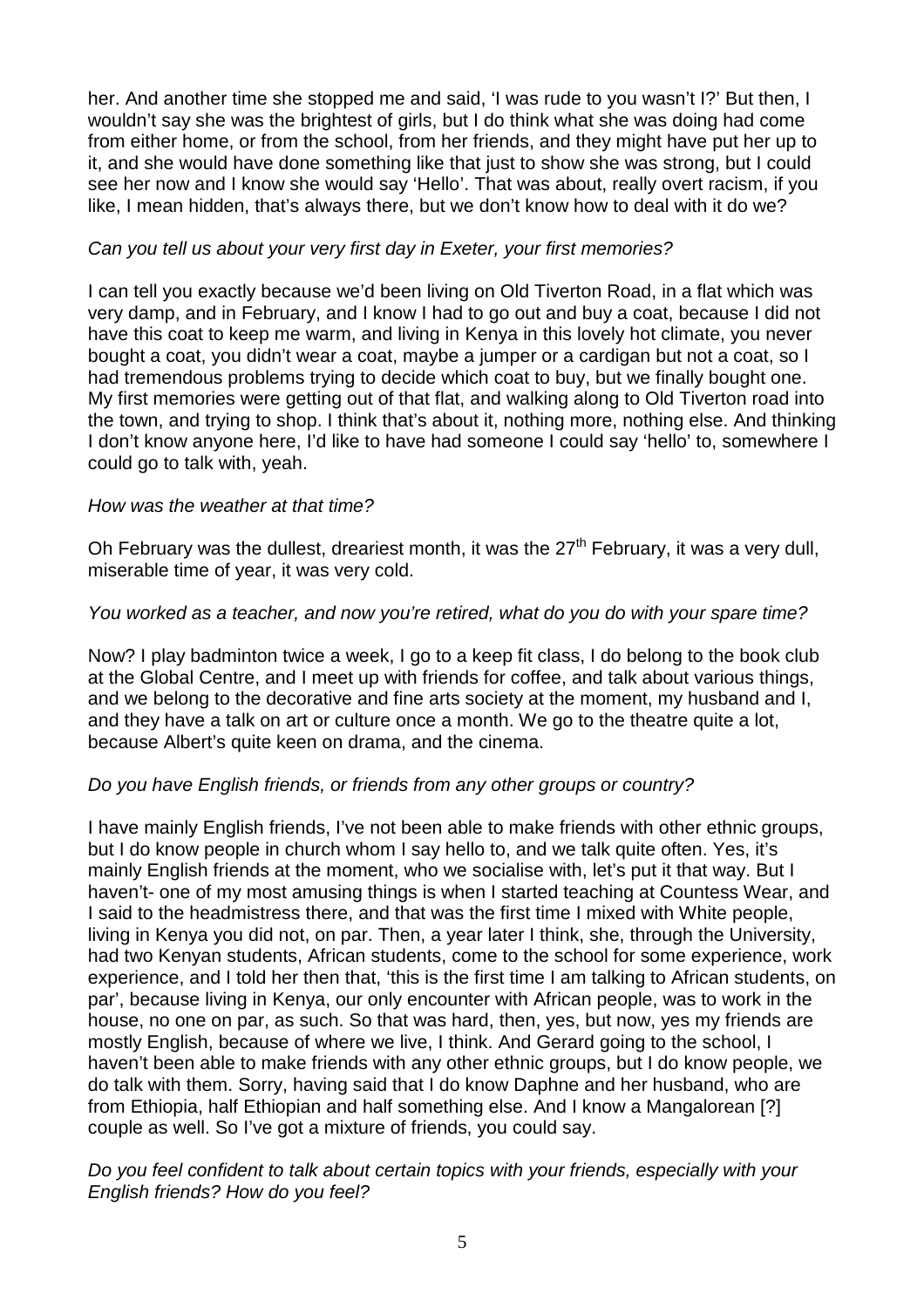her. And another time she stopped me and said, 'I was rude to you wasn't I?' But then, I wouldn't say she was the brightest of girls, but I do think what she was doing had come from either home, or from the school, from her friends, and they might have put her up to it, and she would have done something like that just to show she was strong, but I could see her now and I know she would say 'Hello'. That was about, really overt racism, if you like, I mean hidden, that's always there, but we don't know how to deal with it do we?

## Can you tell us about your very first day in Exeter, your first memories?

I can tell you exactly because we'd been living on Old Tiverton Road, in a flat which was very damp, and in February, and I know I had to go out and buy a coat, because I did not have this coat to keep me warm, and living in Kenya in this lovely hot climate, you never bought a coat, you didn't wear a coat, maybe a jumper or a cardigan but not a coat, so I had tremendous problems trying to decide which coat to buy, but we finally bought one. My first memories were getting out of that flat, and walking along to Old Tiverton road into the town, and trying to shop. I think that's about it, nothing more, nothing else. And thinking I don't know anyone here, I'd like to have had someone I could say 'hello' to, somewhere I could go to talk with, yeah.

### How was the weather at that time?

Oh February was the dullest, dreariest month, it was the  $27<sup>th</sup>$  February, it was a very dull, miserable time of year, it was very cold.

## You worked as a teacher, and now you're retired, what do you do with your spare time?

Now? I play badminton twice a week, I go to a keep fit class, I do belong to the book club at the Global Centre, and I meet up with friends for coffee, and talk about various things, and we belong to the decorative and fine arts society at the moment, my husband and I, and they have a talk on art or culture once a month. We go to the theatre quite a lot, because Albert's quite keen on drama, and the cinema.

# Do you have English friends, or friends from any other groups or country?

I have mainly English friends, I've not been able to make friends with other ethnic groups, but I do know people in church whom I say hello to, and we talk quite often. Yes, it's mainly English friends at the moment, who we socialise with, let's put it that way. But I haven't- one of my most amusing things is when I started teaching at Countess Wear, and I said to the headmistress there, and that was the first time I mixed with White people, living in Kenya you did not, on par. Then, a year later I think, she, through the University, had two Kenyan students, African students, come to the school for some experience, work experience, and I told her then that, 'this is the first time I am talking to African students, on par', because living in Kenya, our only encounter with African people, was to work in the house, no one on par, as such. So that was hard, then, yes, but now, yes my friends are mostly English, because of where we live, I think. And Gerard going to the school, I haven't been able to make friends with any other ethnic groups, but I do know people, we do talk with them. Sorry, having said that I do know Daphne and her husband, who are from Ethiopia, half Ethiopian and half something else. And I know a Mangalorean [?] couple as well. So I've got a mixture of friends, you could say.

### Do you feel confident to talk about certain topics with your friends, especially with your English friends? How do you feel?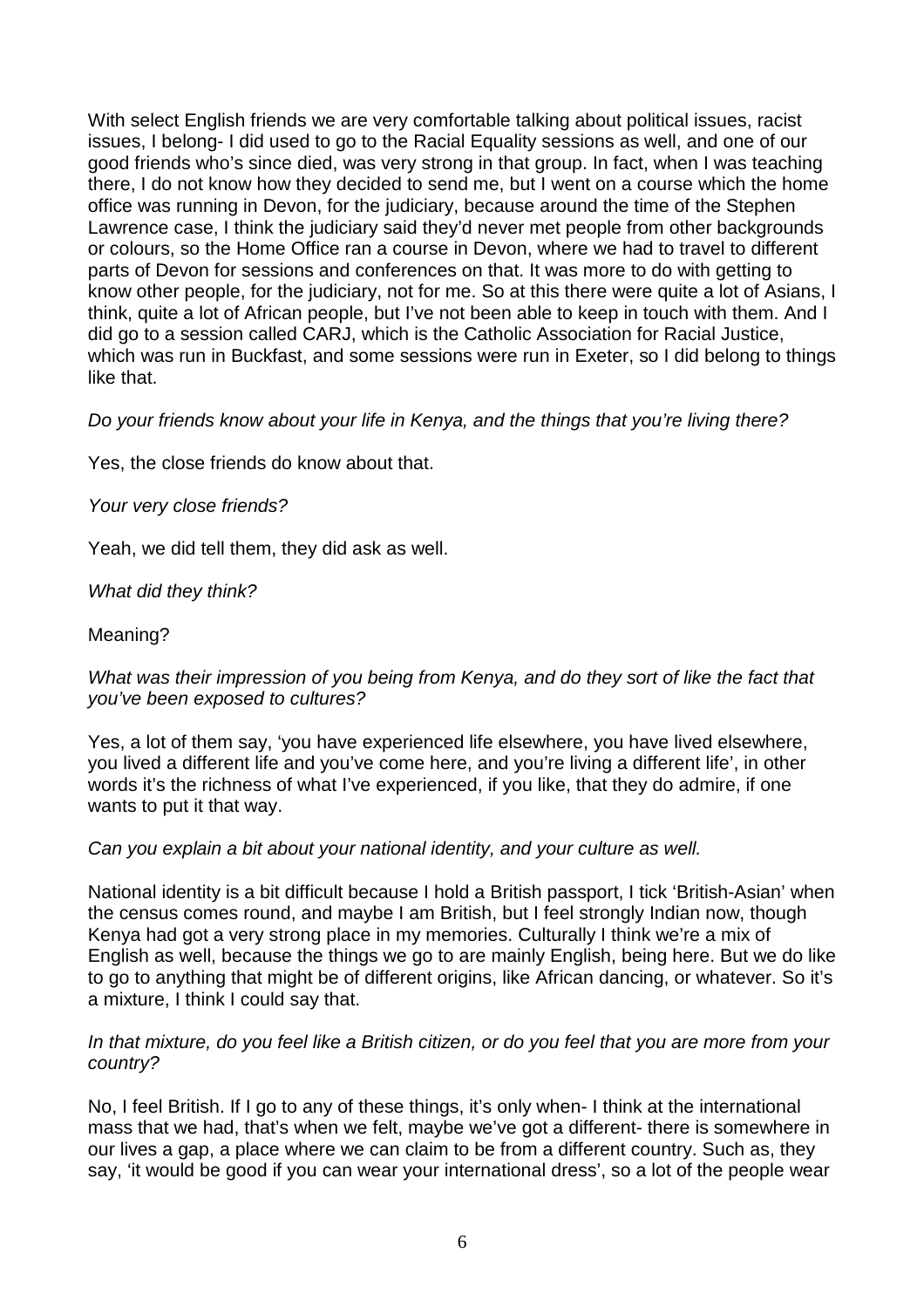With select English friends we are very comfortable talking about political issues, racist issues, I belong- I did used to go to the Racial Equality sessions as well, and one of our good friends who's since died, was very strong in that group. In fact, when I was teaching there, I do not know how they decided to send me, but I went on a course which the home office was running in Devon, for the judiciary, because around the time of the Stephen Lawrence case, I think the judiciary said they'd never met people from other backgrounds or colours, so the Home Office ran a course in Devon, where we had to travel to different parts of Devon for sessions and conferences on that. It was more to do with getting to know other people, for the judiciary, not for me. So at this there were quite a lot of Asians, I think, quite a lot of African people, but I've not been able to keep in touch with them. And I did go to a session called CARJ, which is the Catholic Association for Racial Justice, which was run in Buckfast, and some sessions were run in Exeter, so I did belong to things like that.

Do your friends know about your life in Kenya, and the things that you're living there?

Yes, the close friends do know about that.

Your very close friends?

Yeah, we did tell them, they did ask as well.

What did they think?

Meaning?

## What was their impression of you being from Kenya, and do they sort of like the fact that you've been exposed to cultures?

Yes, a lot of them say, 'you have experienced life elsewhere, you have lived elsewhere, you lived a different life and you've come here, and you're living a different life', in other words it's the richness of what I've experienced, if you like, that they do admire, if one wants to put it that way.

### Can you explain a bit about your national identity, and your culture as well.

National identity is a bit difficult because I hold a British passport, I tick 'British-Asian' when the census comes round, and maybe I am British, but I feel strongly Indian now, though Kenya had got a very strong place in my memories. Culturally I think we're a mix of English as well, because the things we go to are mainly English, being here. But we do like to go to anything that might be of different origins, like African dancing, or whatever. So it's a mixture, I think I could say that.

#### In that mixture, do you feel like a British citizen, or do you feel that you are more from your country?

No, I feel British. If I go to any of these things, it's only when- I think at the international mass that we had, that's when we felt, maybe we've got a different- there is somewhere in our lives a gap, a place where we can claim to be from a different country. Such as, they say, 'it would be good if you can wear your international dress', so a lot of the people wear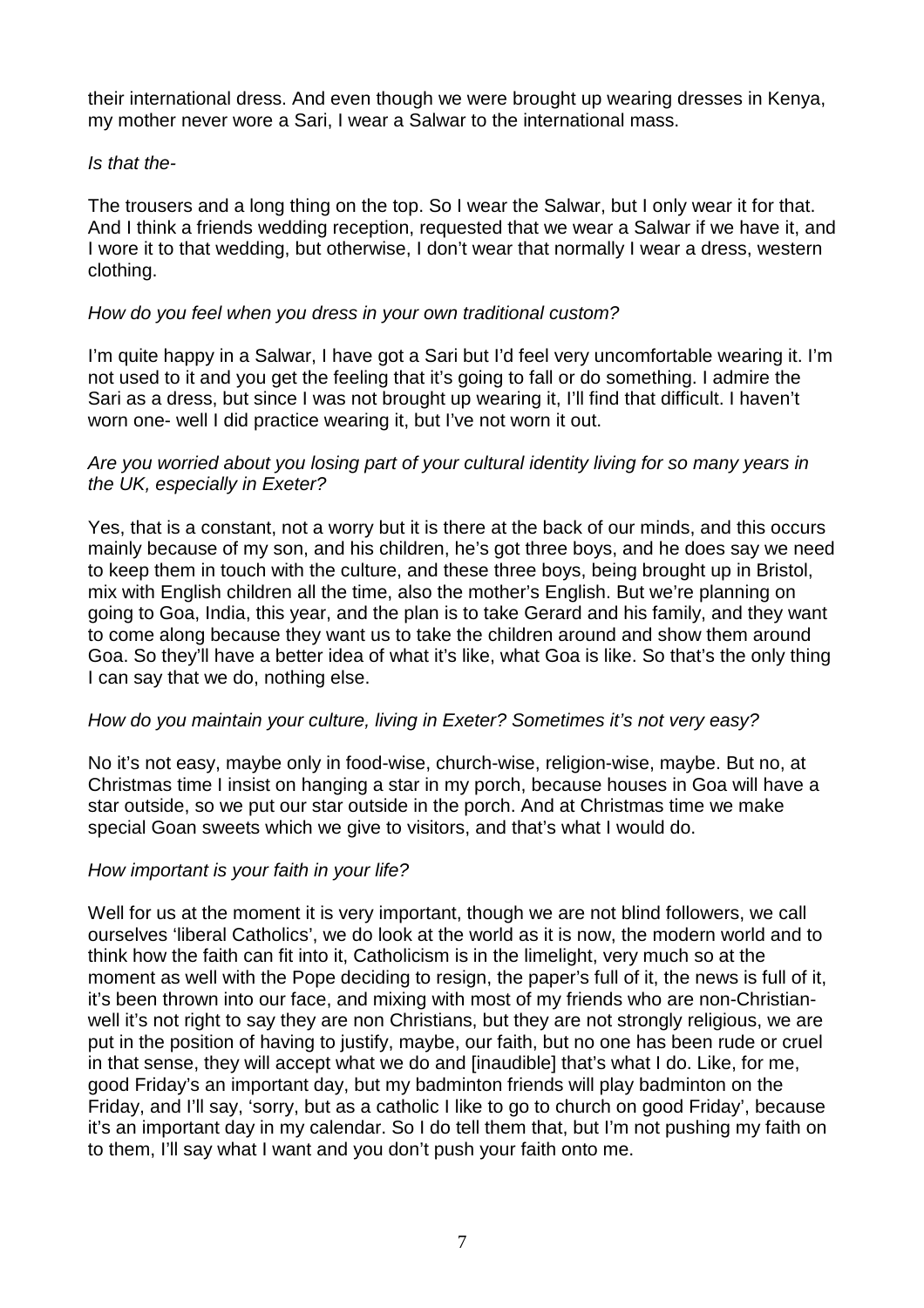their international dress. And even though we were brought up wearing dresses in Kenya, my mother never wore a Sari, I wear a Salwar to the international mass.

## Is that the-

The trousers and a long thing on the top. So I wear the Salwar, but I only wear it for that. And I think a friends wedding reception, requested that we wear a Salwar if we have it, and I wore it to that wedding, but otherwise, I don't wear that normally I wear a dress, western clothing.

## How do you feel when you dress in your own traditional custom?

I'm quite happy in a Salwar, I have got a Sari but I'd feel very uncomfortable wearing it. I'm not used to it and you get the feeling that it's going to fall or do something. I admire the Sari as a dress, but since I was not brought up wearing it, I'll find that difficult. I haven't worn one- well I did practice wearing it, but I've not worn it out.

### Are you worried about you losing part of your cultural identity living for so many years in the UK, especially in Exeter?

Yes, that is a constant, not a worry but it is there at the back of our minds, and this occurs mainly because of my son, and his children, he's got three boys, and he does say we need to keep them in touch with the culture, and these three boys, being brought up in Bristol, mix with English children all the time, also the mother's English. But we're planning on going to Goa, India, this year, and the plan is to take Gerard and his family, and they want to come along because they want us to take the children around and show them around Goa. So they'll have a better idea of what it's like, what Goa is like. So that's the only thing I can say that we do, nothing else.

### How do you maintain your culture, living in Exeter? Sometimes it's not very easy?

No it's not easy, maybe only in food-wise, church-wise, religion-wise, maybe. But no, at Christmas time I insist on hanging a star in my porch, because houses in Goa will have a star outside, so we put our star outside in the porch. And at Christmas time we make special Goan sweets which we give to visitors, and that's what I would do.

# How important is your faith in your life?

Well for us at the moment it is very important, though we are not blind followers, we call ourselves 'liberal Catholics', we do look at the world as it is now, the modern world and to think how the faith can fit into it, Catholicism is in the limelight, very much so at the moment as well with the Pope deciding to resign, the paper's full of it, the news is full of it, it's been thrown into our face, and mixing with most of my friends who are non-Christianwell it's not right to say they are non Christians, but they are not strongly religious, we are put in the position of having to justify, maybe, our faith, but no one has been rude or cruel in that sense, they will accept what we do and [inaudible] that's what I do. Like, for me, good Friday's an important day, but my badminton friends will play badminton on the Friday, and I'll say, 'sorry, but as a catholic I like to go to church on good Friday', because it's an important day in my calendar. So I do tell them that, but I'm not pushing my faith on to them, I'll say what I want and you don't push your faith onto me.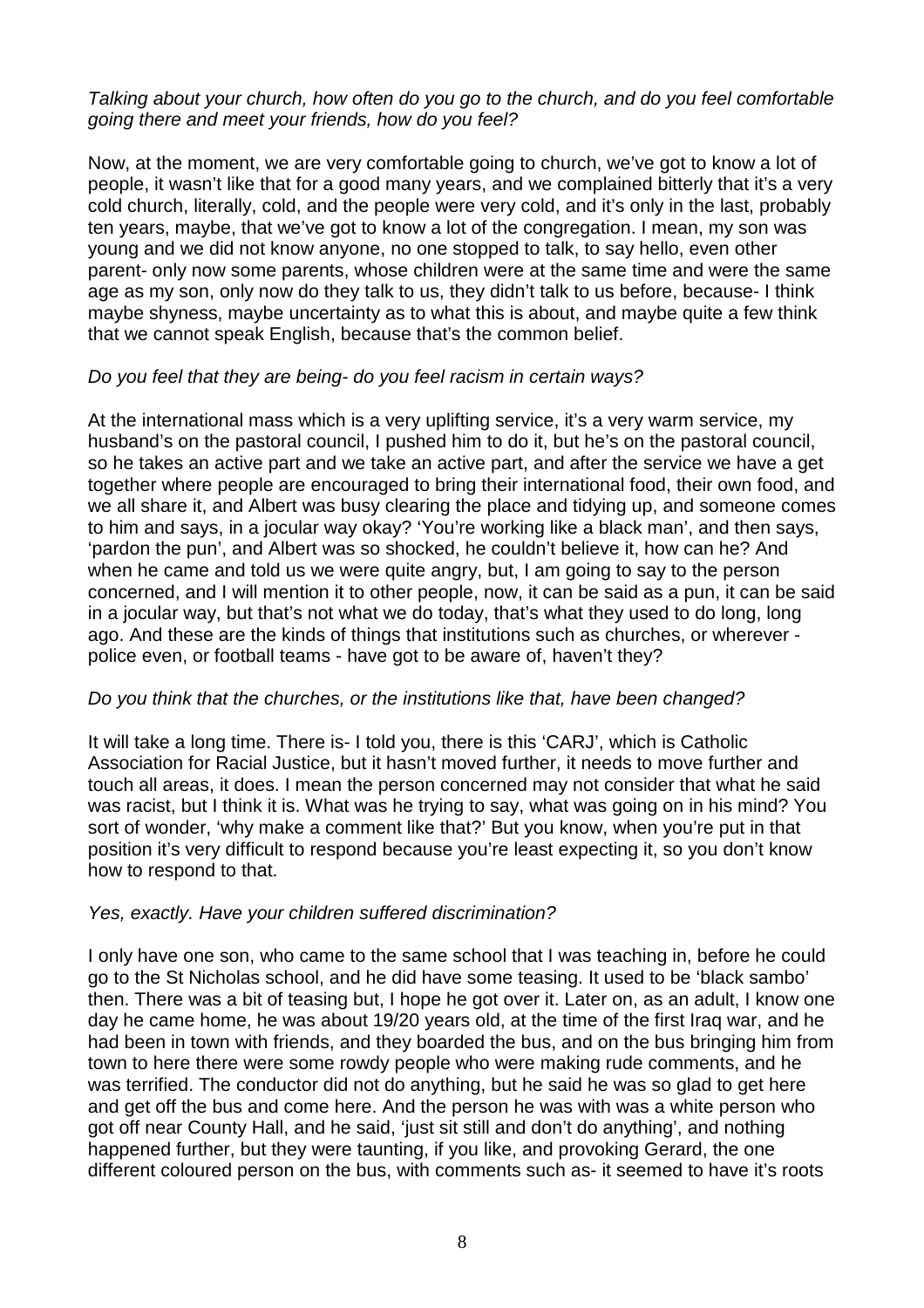## Talking about your church, how often do you go to the church, and do you feel comfortable going there and meet your friends, how do you feel?

Now, at the moment, we are very comfortable going to church, we've got to know a lot of people, it wasn't like that for a good many years, and we complained bitterly that it's a very cold church, literally, cold, and the people were very cold, and it's only in the last, probably ten years, maybe, that we've got to know a lot of the congregation. I mean, my son was young and we did not know anyone, no one stopped to talk, to say hello, even other parent- only now some parents, whose children were at the same time and were the same age as my son, only now do they talk to us, they didn't talk to us before, because- I think maybe shyness, maybe uncertainty as to what this is about, and maybe quite a few think that we cannot speak English, because that's the common belief.

## Do you feel that they are being- do you feel racism in certain ways?

At the international mass which is a very uplifting service, it's a very warm service, my husband's on the pastoral council, I pushed him to do it, but he's on the pastoral council, so he takes an active part and we take an active part, and after the service we have a get together where people are encouraged to bring their international food, their own food, and we all share it, and Albert was busy clearing the place and tidying up, and someone comes to him and says, in a jocular way okay? 'You're working like a black man', and then says, 'pardon the pun', and Albert was so shocked, he couldn't believe it, how can he? And when he came and told us we were quite angry, but, I am going to say to the person concerned, and I will mention it to other people, now, it can be said as a pun, it can be said in a jocular way, but that's not what we do today, that's what they used to do long, long ago. And these are the kinds of things that institutions such as churches, or wherever police even, or football teams - have got to be aware of, haven't they?

### Do you think that the churches, or the institutions like that, have been changed?

It will take a long time. There is- I told you, there is this 'CARJ', which is Catholic Association for Racial Justice, but it hasn't moved further, it needs to move further and touch all areas, it does. I mean the person concerned may not consider that what he said was racist, but I think it is. What was he trying to say, what was going on in his mind? You sort of wonder, 'why make a comment like that?' But you know, when you're put in that position it's very difficult to respond because you're least expecting it, so you don't know how to respond to that.

### Yes, exactly. Have your children suffered discrimination?

I only have one son, who came to the same school that I was teaching in, before he could go to the St Nicholas school, and he did have some teasing. It used to be 'black sambo' then. There was a bit of teasing but, I hope he got over it. Later on, as an adult, I know one day he came home, he was about 19/20 years old, at the time of the first Iraq war, and he had been in town with friends, and they boarded the bus, and on the bus bringing him from town to here there were some rowdy people who were making rude comments, and he was terrified. The conductor did not do anything, but he said he was so glad to get here and get off the bus and come here. And the person he was with was a white person who got off near County Hall, and he said, 'just sit still and don't do anything', and nothing happened further, but they were taunting, if you like, and provoking Gerard, the one different coloured person on the bus, with comments such as- it seemed to have it's roots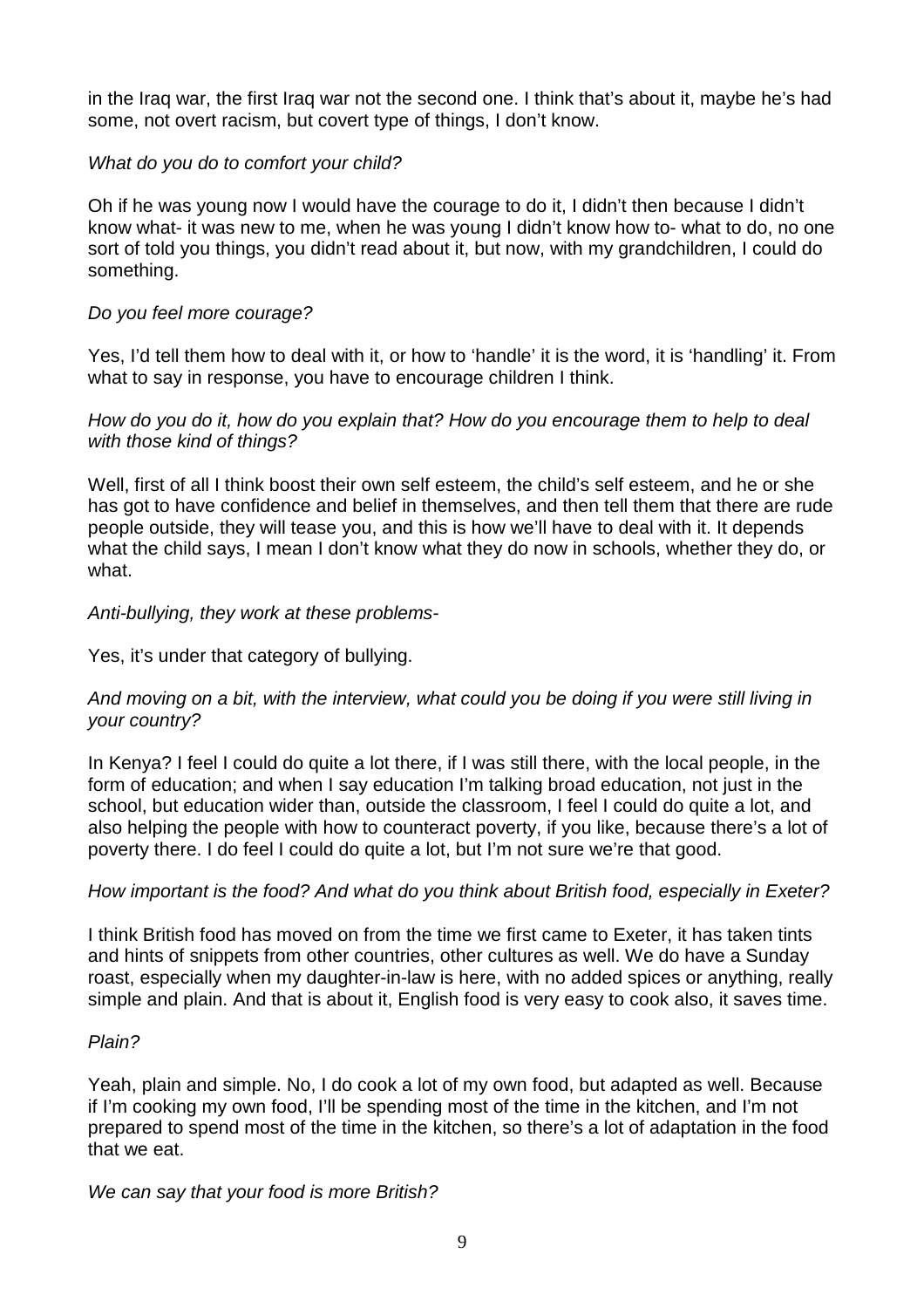in the Iraq war, the first Iraq war not the second one. I think that's about it, maybe he's had some, not overt racism, but covert type of things, I don't know.

## What do you do to comfort your child?

Oh if he was young now I would have the courage to do it, I didn't then because I didn't know what- it was new to me, when he was young I didn't know how to- what to do, no one sort of told you things, you didn't read about it, but now, with my grandchildren, I could do something.

## Do you feel more courage?

Yes, I'd tell them how to deal with it, or how to 'handle' it is the word, it is 'handling' it. From what to say in response, you have to encourage children I think.

### How do you do it, how do you explain that? How do you encourage them to help to deal with those kind of things?

Well, first of all I think boost their own self esteem, the child's self esteem, and he or she has got to have confidence and belief in themselves, and then tell them that there are rude people outside, they will tease you, and this is how we'll have to deal with it. It depends what the child says, I mean I don't know what they do now in schools, whether they do, or what.

## Anti-bullying, they work at these problems-

Yes, it's under that category of bullying.

## And moving on a bit, with the interview, what could you be doing if you were still living in your country?

In Kenya? I feel I could do quite a lot there, if I was still there, with the local people, in the form of education; and when I say education I'm talking broad education, not just in the school, but education wider than, outside the classroom, I feel I could do quite a lot, and also helping the people with how to counteract poverty, if you like, because there's a lot of poverty there. I do feel I could do quite a lot, but I'm not sure we're that good.

# How important is the food? And what do you think about British food, especially in Exeter?

I think British food has moved on from the time we first came to Exeter, it has taken tints and hints of snippets from other countries, other cultures as well. We do have a Sunday roast, especially when my daughter-in-law is here, with no added spices or anything, really simple and plain. And that is about it, English food is very easy to cook also, it saves time.

### Plain?

Yeah, plain and simple. No, I do cook a lot of my own food, but adapted as well. Because if I'm cooking my own food, I'll be spending most of the time in the kitchen, and I'm not prepared to spend most of the time in the kitchen, so there's a lot of adaptation in the food that we eat.

### We can say that your food is more British?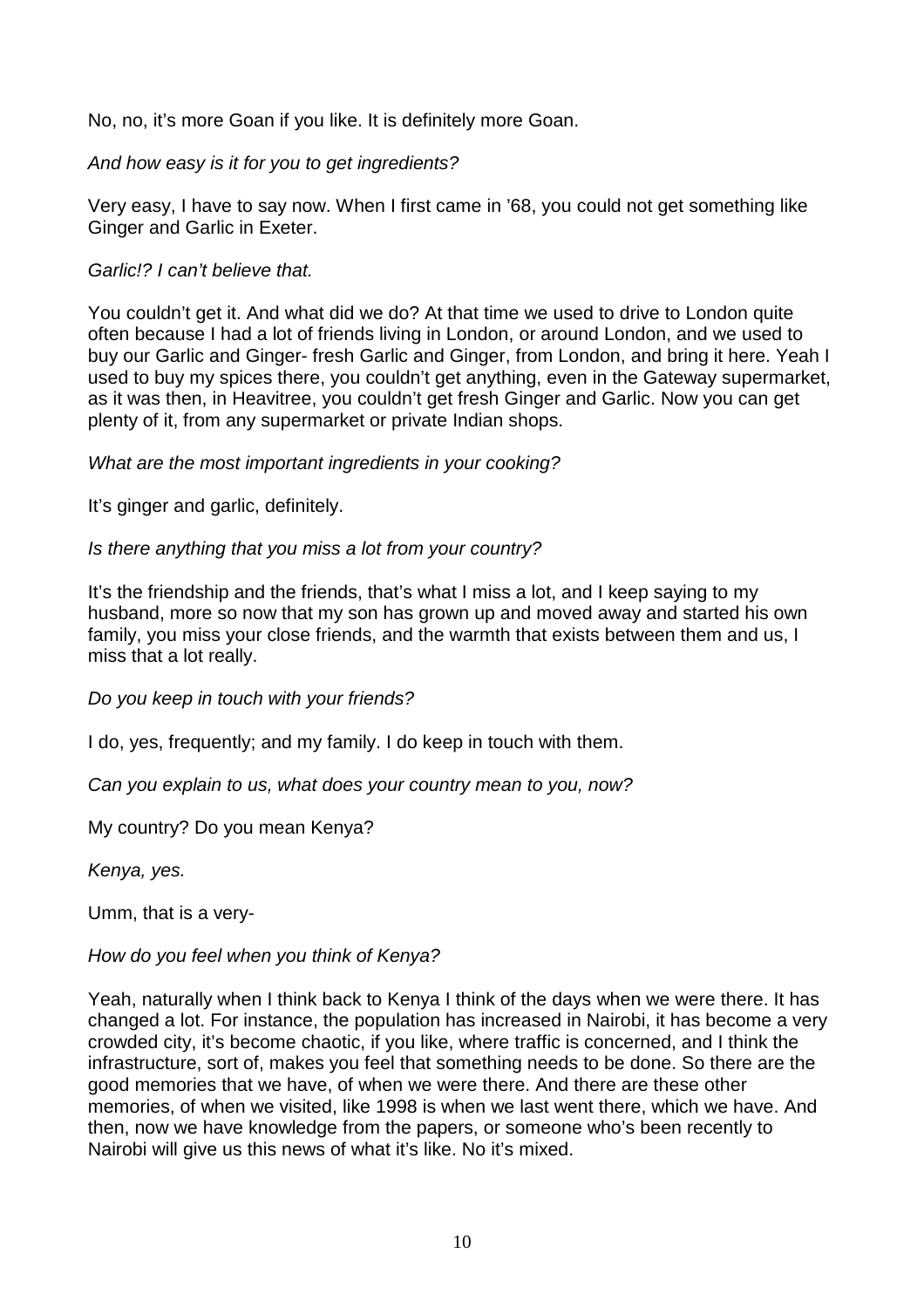No, no, it's more Goan if you like. It is definitely more Goan.

And how easy is it for you to get ingredients?

Very easy, I have to say now. When I first came in '68, you could not get something like Ginger and Garlic in Exeter.

## Garlic!? I can't believe that.

You couldn't get it. And what did we do? At that time we used to drive to London quite often because I had a lot of friends living in London, or around London, and we used to buy our Garlic and Ginger- fresh Garlic and Ginger, from London, and bring it here. Yeah I used to buy my spices there, you couldn't get anything, even in the Gateway supermarket, as it was then, in Heavitree, you couldn't get fresh Ginger and Garlic. Now you can get plenty of it, from any supermarket or private Indian shops.

## What are the most important ingredients in your cooking?

It's ginger and garlic, definitely.

Is there anything that you miss a lot from your country?

It's the friendship and the friends, that's what I miss a lot, and I keep saying to my husband, more so now that my son has grown up and moved away and started his own family, you miss your close friends, and the warmth that exists between them and us, I miss that a lot really.

Do you keep in touch with your friends?

I do, yes, frequently; and my family. I do keep in touch with them.

Can you explain to us, what does your country mean to you, now?

My country? Do you mean Kenya?

Kenya, yes.

Umm, that is a very-

How do you feel when you think of Kenya?

Yeah, naturally when I think back to Kenya I think of the days when we were there. It has changed a lot. For instance, the population has increased in Nairobi, it has become a very crowded city, it's become chaotic, if you like, where traffic is concerned, and I think the infrastructure, sort of, makes you feel that something needs to be done. So there are the good memories that we have, of when we were there. And there are these other memories, of when we visited, like 1998 is when we last went there, which we have. And then, now we have knowledge from the papers, or someone who's been recently to Nairobi will give us this news of what it's like. No it's mixed.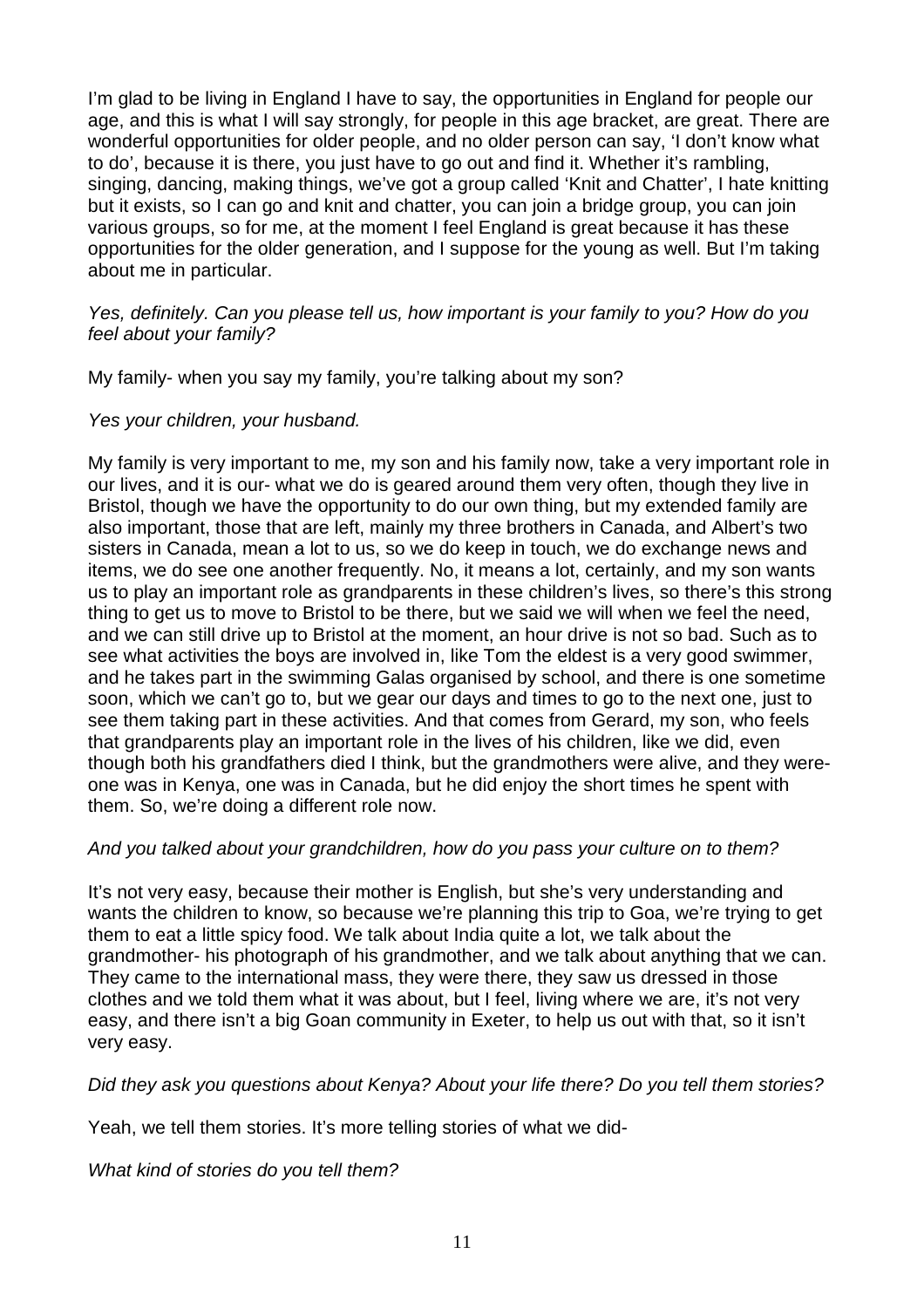I'm glad to be living in England I have to say, the opportunities in England for people our age, and this is what I will say strongly, for people in this age bracket, are great. There are wonderful opportunities for older people, and no older person can say, 'I don't know what to do', because it is there, you just have to go out and find it. Whether it's rambling, singing, dancing, making things, we've got a group called 'Knit and Chatter', I hate knitting but it exists, so I can go and knit and chatter, you can join a bridge group, you can join various groups, so for me, at the moment I feel England is great because it has these opportunities for the older generation, and I suppose for the young as well. But I'm taking about me in particular.

Yes, definitely. Can you please tell us, how important is your family to you? How do you feel about your family?

My family- when you say my family, you're talking about my son?

#### Yes your children, your husband.

My family is very important to me, my son and his family now, take a very important role in our lives, and it is our- what we do is geared around them very often, though they live in Bristol, though we have the opportunity to do our own thing, but my extended family are also important, those that are left, mainly my three brothers in Canada, and Albert's two sisters in Canada, mean a lot to us, so we do keep in touch, we do exchange news and items, we do see one another frequently. No, it means a lot, certainly, and my son wants us to play an important role as grandparents in these children's lives, so there's this strong thing to get us to move to Bristol to be there, but we said we will when we feel the need, and we can still drive up to Bristol at the moment, an hour drive is not so bad. Such as to see what activities the boys are involved in, like Tom the eldest is a very good swimmer, and he takes part in the swimming Galas organised by school, and there is one sometime soon, which we can't go to, but we gear our days and times to go to the next one, just to see them taking part in these activities. And that comes from Gerard, my son, who feels that grandparents play an important role in the lives of his children, like we did, even though both his grandfathers died I think, but the grandmothers were alive, and they wereone was in Kenya, one was in Canada, but he did enjoy the short times he spent with them. So, we're doing a different role now.

### And you talked about your grandchildren, how do you pass your culture on to them?

It's not very easy, because their mother is English, but she's very understanding and wants the children to know, so because we're planning this trip to Goa, we're trying to get them to eat a little spicy food. We talk about India quite a lot, we talk about the grandmother- his photograph of his grandmother, and we talk about anything that we can. They came to the international mass, they were there, they saw us dressed in those clothes and we told them what it was about, but I feel, living where we are, it's not very easy, and there isn't a big Goan community in Exeter, to help us out with that, so it isn't very easy.

Did they ask you questions about Kenya? About your life there? Do you tell them stories?

Yeah, we tell them stories. It's more telling stories of what we did-

What kind of stories do you tell them?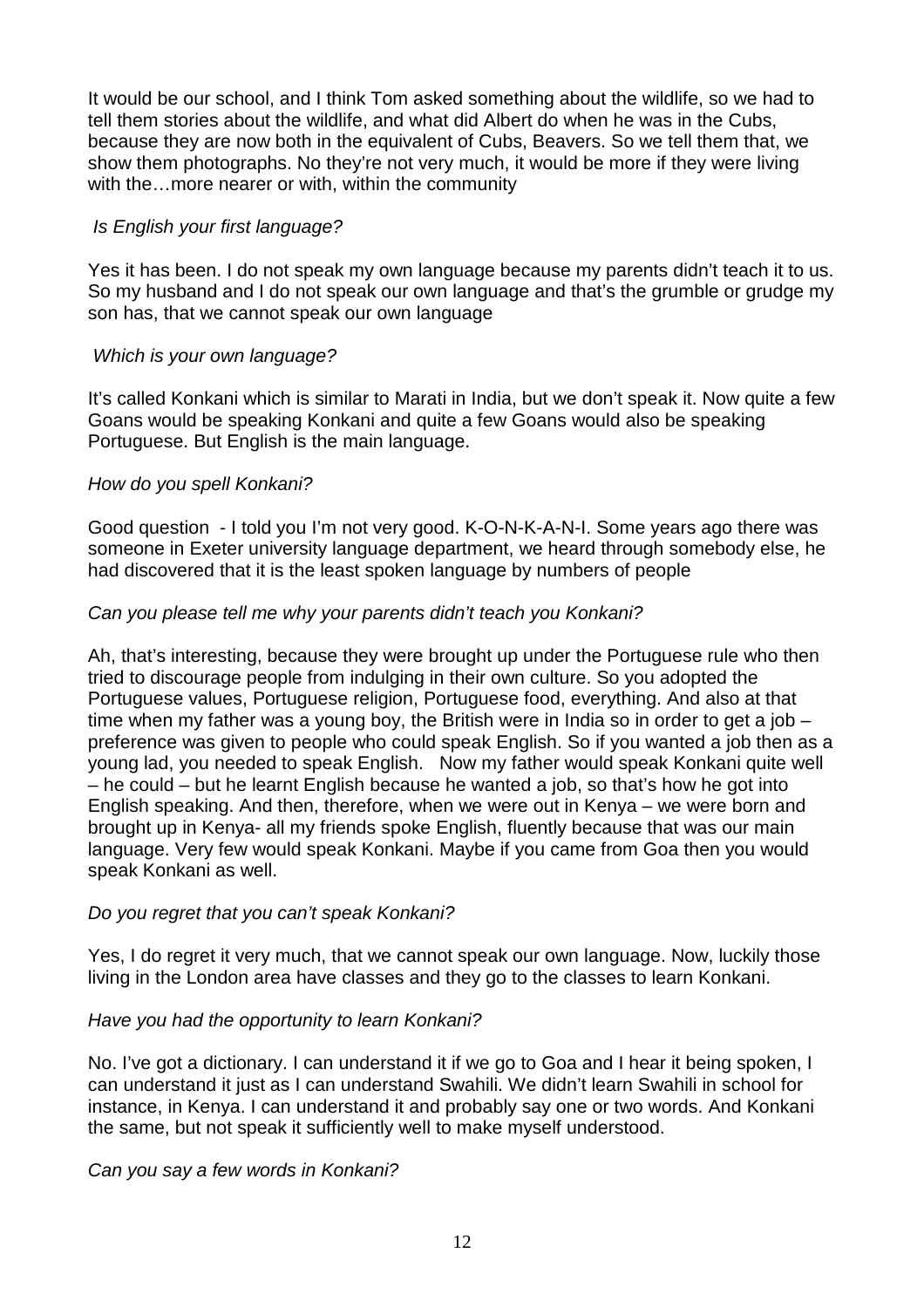It would be our school, and I think Tom asked something about the wildlife, so we had to tell them stories about the wildlife, and what did Albert do when he was in the Cubs, because they are now both in the equivalent of Cubs, Beavers. So we tell them that, we show them photographs. No they're not very much, it would be more if they were living with the…more nearer or with, within the community

## Is English your first language?

Yes it has been. I do not speak my own language because my parents didn't teach it to us. So my husband and I do not speak our own language and that's the grumble or grudge my son has, that we cannot speak our own language

## Which is your own language?

It's called Konkani which is similar to Marati in India, but we don't speak it. Now quite a few Goans would be speaking Konkani and quite a few Goans would also be speaking Portuguese. But English is the main language.

## How do you spell Konkani?

Good question - I told you I'm not very good. K-O-N-K-A-N-I. Some years ago there was someone in Exeter university language department, we heard through somebody else, he had discovered that it is the least spoken language by numbers of people

## Can you please tell me why your parents didn't teach you Konkani?

Ah, that's interesting, because they were brought up under the Portuguese rule who then tried to discourage people from indulging in their own culture. So you adopted the Portuguese values, Portuguese religion, Portuguese food, everything. And also at that time when my father was a young boy, the British were in India so in order to get a job – preference was given to people who could speak English. So if you wanted a job then as a young lad, you needed to speak English. Now my father would speak Konkani quite well – he could – but he learnt English because he wanted a job, so that's how he got into English speaking. And then, therefore, when we were out in Kenya – we were born and brought up in Kenya- all my friends spoke English, fluently because that was our main language. Very few would speak Konkani. Maybe if you came from Goa then you would speak Konkani as well.

### Do you regret that you can't speak Konkani?

Yes, I do regret it very much, that we cannot speak our own language. Now, luckily those living in the London area have classes and they go to the classes to learn Konkani.

### Have you had the opportunity to learn Konkani?

No. I've got a dictionary. I can understand it if we go to Goa and I hear it being spoken, I can understand it just as I can understand Swahili. We didn't learn Swahili in school for instance, in Kenya. I can understand it and probably say one or two words. And Konkani the same, but not speak it sufficiently well to make myself understood.

### Can you say a few words in Konkani?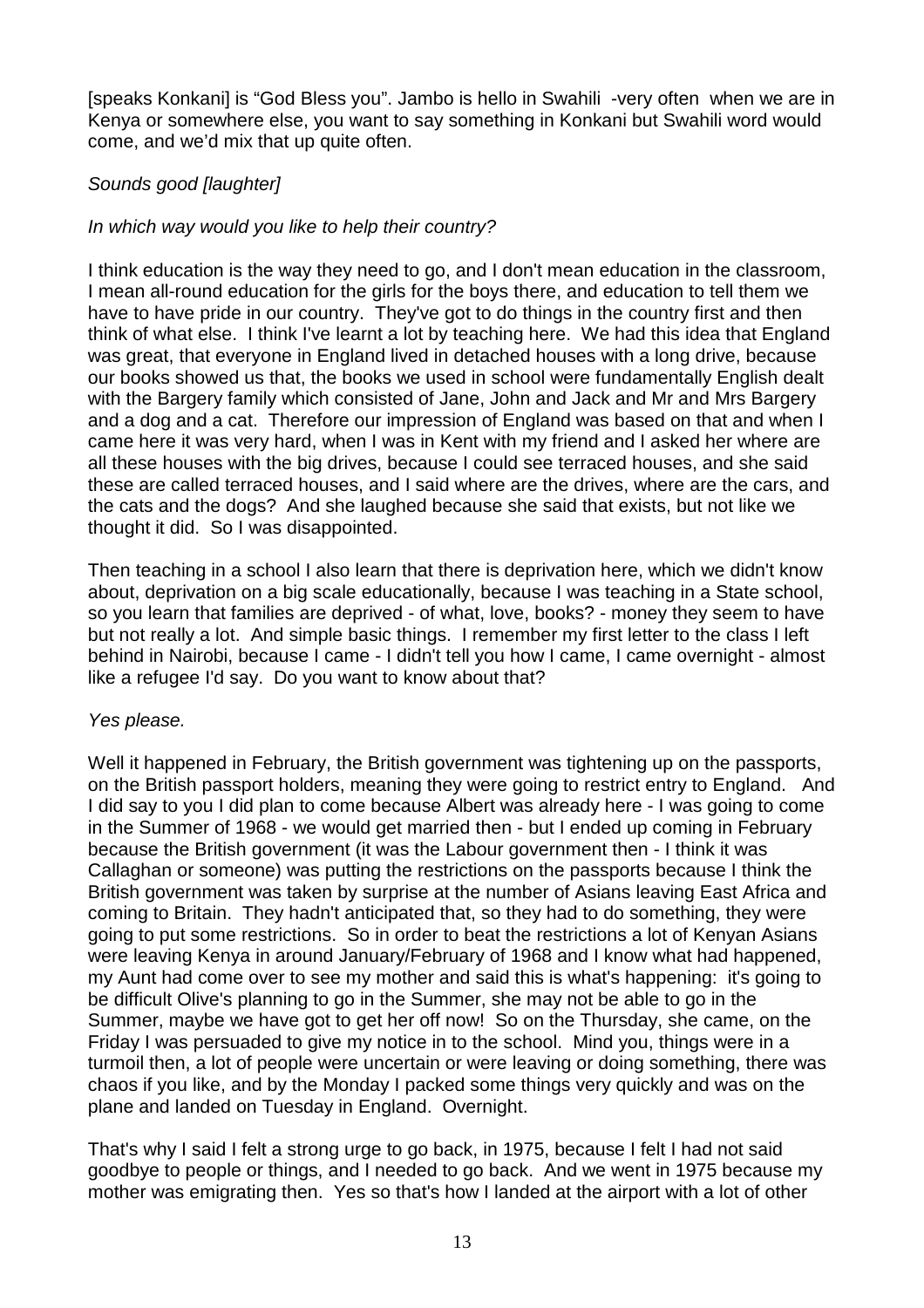[speaks Konkani] is "God Bless you". Jambo is hello in Swahili -very often when we are in Kenya or somewhere else, you want to say something in Konkani but Swahili word would come, and we'd mix that up quite often.

# Sounds good [laughter]

# In which way would you like to help their country?

I think education is the way they need to go, and I don't mean education in the classroom, I mean all-round education for the girls for the boys there, and education to tell them we have to have pride in our country. They've got to do things in the country first and then think of what else. I think I've learnt a lot by teaching here. We had this idea that England was great, that everyone in England lived in detached houses with a long drive, because our books showed us that, the books we used in school were fundamentally English dealt with the Bargery family which consisted of Jane, John and Jack and Mr and Mrs Bargery and a dog and a cat. Therefore our impression of England was based on that and when I came here it was very hard, when I was in Kent with my friend and I asked her where are all these houses with the big drives, because I could see terraced houses, and she said these are called terraced houses, and I said where are the drives, where are the cars, and the cats and the dogs? And she laughed because she said that exists, but not like we thought it did. So I was disappointed.

Then teaching in a school I also learn that there is deprivation here, which we didn't know about, deprivation on a big scale educationally, because I was teaching in a State school, so you learn that families are deprived - of what, love, books? - money they seem to have but not really a lot. And simple basic things. I remember my first letter to the class I left behind in Nairobi, because I came - I didn't tell you how I came, I came overnight - almost like a refugee I'd say. Do you want to know about that?

# Yes please.

Well it happened in February, the British government was tightening up on the passports, on the British passport holders, meaning they were going to restrict entry to England. And I did say to you I did plan to come because Albert was already here - I was going to come in the Summer of 1968 - we would get married then - but I ended up coming in February because the British government (it was the Labour government then - I think it was Callaghan or someone) was putting the restrictions on the passports because I think the British government was taken by surprise at the number of Asians leaving East Africa and coming to Britain. They hadn't anticipated that, so they had to do something, they were going to put some restrictions. So in order to beat the restrictions a lot of Kenyan Asians were leaving Kenya in around January/February of 1968 and I know what had happened, my Aunt had come over to see my mother and said this is what's happening: it's going to be difficult Olive's planning to go in the Summer, she may not be able to go in the Summer, maybe we have got to get her off now! So on the Thursday, she came, on the Friday I was persuaded to give my notice in to the school. Mind you, things were in a turmoil then, a lot of people were uncertain or were leaving or doing something, there was chaos if you like, and by the Monday I packed some things very quickly and was on the plane and landed on Tuesday in England. Overnight.

That's why I said I felt a strong urge to go back, in 1975, because I felt I had not said goodbye to people or things, and I needed to go back. And we went in 1975 because my mother was emigrating then. Yes so that's how I landed at the airport with a lot of other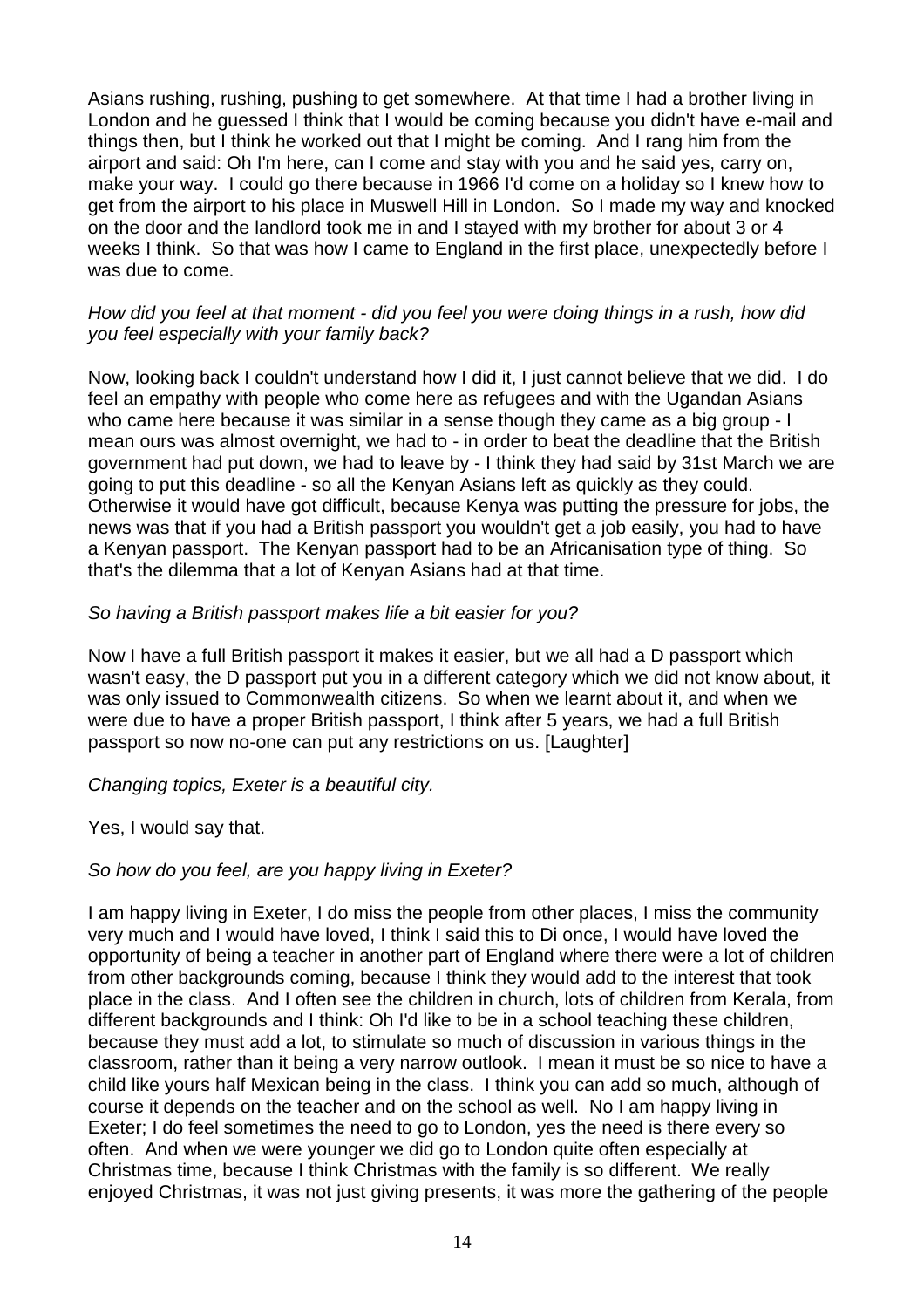Asians rushing, rushing, pushing to get somewhere. At that time I had a brother living in London and he guessed I think that I would be coming because you didn't have e-mail and things then, but I think he worked out that I might be coming. And I rang him from the airport and said: Oh I'm here, can I come and stay with you and he said yes, carry on, make your way. I could go there because in 1966 I'd come on a holiday so I knew how to get from the airport to his place in Muswell Hill in London. So I made my way and knocked on the door and the landlord took me in and I stayed with my brother for about 3 or 4 weeks I think. So that was how I came to England in the first place, unexpectedly before I was due to come.

### How did you feel at that moment - did you feel you were doing things in a rush, how did you feel especially with your family back?

Now, looking back I couldn't understand how I did it, I just cannot believe that we did. I do feel an empathy with people who come here as refugees and with the Ugandan Asians who came here because it was similar in a sense though they came as a big group - I mean ours was almost overnight, we had to - in order to beat the deadline that the British government had put down, we had to leave by - I think they had said by 31st March we are going to put this deadline - so all the Kenyan Asians left as quickly as they could. Otherwise it would have got difficult, because Kenya was putting the pressure for jobs, the news was that if you had a British passport you wouldn't get a job easily, you had to have a Kenyan passport. The Kenyan passport had to be an Africanisation type of thing. So that's the dilemma that a lot of Kenyan Asians had at that time.

## So having a British passport makes life a bit easier for you?

Now I have a full British passport it makes it easier, but we all had a D passport which wasn't easy, the D passport put you in a different category which we did not know about, it was only issued to Commonwealth citizens. So when we learnt about it, and when we were due to have a proper British passport, I think after 5 years, we had a full British passport so now no-one can put any restrictions on us. [Laughter]

# Changing topics, Exeter is a beautiful city.

Yes, I would say that.

# So how do you feel, are you happy living in Exeter?

I am happy living in Exeter, I do miss the people from other places, I miss the community very much and I would have loved, I think I said this to Di once, I would have loved the opportunity of being a teacher in another part of England where there were a lot of children from other backgrounds coming, because I think they would add to the interest that took place in the class. And I often see the children in church, lots of children from Kerala, from different backgrounds and I think: Oh I'd like to be in a school teaching these children, because they must add a lot, to stimulate so much of discussion in various things in the classroom, rather than it being a very narrow outlook. I mean it must be so nice to have a child like yours half Mexican being in the class. I think you can add so much, although of course it depends on the teacher and on the school as well. No I am happy living in Exeter; I do feel sometimes the need to go to London, yes the need is there every so often. And when we were younger we did go to London quite often especially at Christmas time, because I think Christmas with the family is so different. We really enjoyed Christmas, it was not just giving presents, it was more the gathering of the people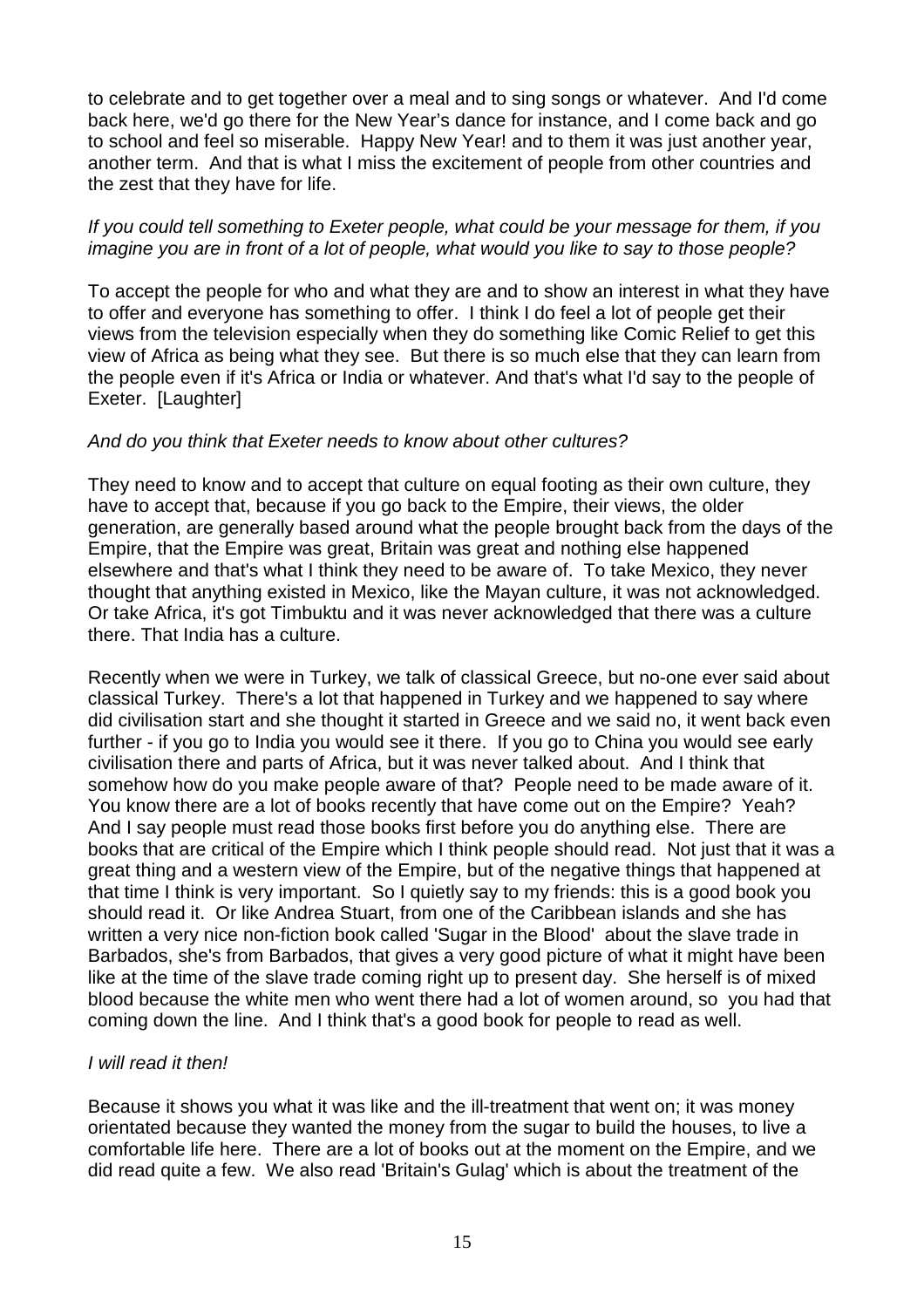to celebrate and to get together over a meal and to sing songs or whatever. And I'd come back here, we'd go there for the New Year's dance for instance, and I come back and go to school and feel so miserable. Happy New Year! and to them it was just another year, another term. And that is what I miss the excitement of people from other countries and the zest that they have for life.

### If you could tell something to Exeter people, what could be your message for them, if you imagine you are in front of a lot of people, what would you like to say to those people?

To accept the people for who and what they are and to show an interest in what they have to offer and everyone has something to offer. I think I do feel a lot of people get their views from the television especially when they do something like Comic Relief to get this view of Africa as being what they see. But there is so much else that they can learn from the people even if it's Africa or India or whatever. And that's what I'd say to the people of Exeter. [Laughter]

## And do you think that Exeter needs to know about other cultures?

They need to know and to accept that culture on equal footing as their own culture, they have to accept that, because if you go back to the Empire, their views, the older generation, are generally based around what the people brought back from the days of the Empire, that the Empire was great, Britain was great and nothing else happened elsewhere and that's what I think they need to be aware of. To take Mexico, they never thought that anything existed in Mexico, like the Mayan culture, it was not acknowledged. Or take Africa, it's got Timbuktu and it was never acknowledged that there was a culture there. That India has a culture.

Recently when we were in Turkey, we talk of classical Greece, but no-one ever said about classical Turkey. There's a lot that happened in Turkey and we happened to say where did civilisation start and she thought it started in Greece and we said no, it went back even further - if you go to India you would see it there. If you go to China you would see early civilisation there and parts of Africa, but it was never talked about. And I think that somehow how do you make people aware of that? People need to be made aware of it. You know there are a lot of books recently that have come out on the Empire? Yeah? And I say people must read those books first before you do anything else. There are books that are critical of the Empire which I think people should read. Not just that it was a great thing and a western view of the Empire, but of the negative things that happened at that time I think is very important. So I quietly say to my friends: this is a good book you should read it. Or like Andrea Stuart, from one of the Caribbean islands and she has written a very nice non-fiction book called 'Sugar in the Blood' about the slave trade in Barbados, she's from Barbados, that gives a very good picture of what it might have been like at the time of the slave trade coming right up to present day. She herself is of mixed blood because the white men who went there had a lot of women around, so you had that coming down the line. And I think that's a good book for people to read as well.

# I will read it then!

Because it shows you what it was like and the ill-treatment that went on; it was money orientated because they wanted the money from the sugar to build the houses, to live a comfortable life here. There are a lot of books out at the moment on the Empire, and we did read quite a few. We also read 'Britain's Gulag' which is about the treatment of the